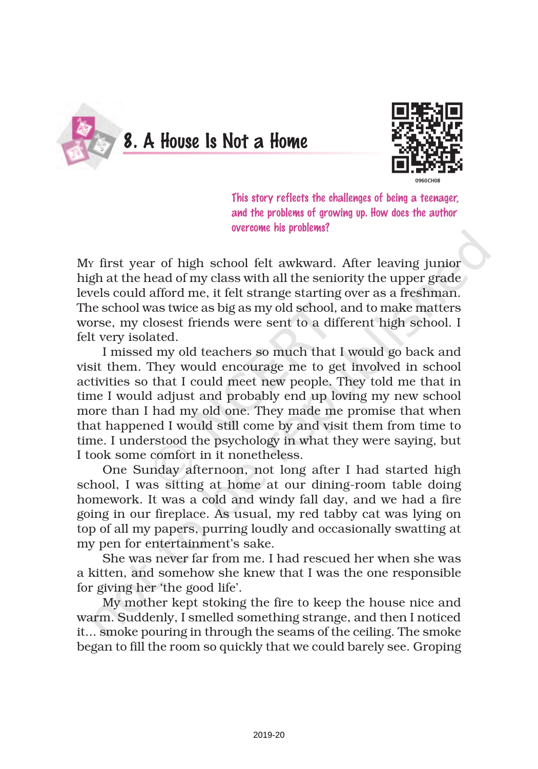

8. A House Is Not a Home



This story reflects the challenges of being a teenager, and the problems of growing up. How does the author overcome his problems?

MY first year of high school felt awkward. After leaving junior high at the head of my class with all the seniority the upper grade levels could afford me, it felt strange starting over as a freshman. The school was twice as big as my old school, and to make matters worse, my closest friends were sent to a different high school. I felt very isolated.

I missed my old teachers so much that I would go back and visit them. They would encourage me to get involved in school activities so that I could meet new people. They told me that in time I would adjust and probably end up loving my new school more than I had my old one. They made me promise that when that happened I would still come by and visit them from time to time. I understood the psychology in what they were saying, but I took some comfort in it nonetheless.

One Sunday afternoon, not long after I had started high school, I was sitting at home at our dining-room table doing homework. It was a cold and windy fall day, and we had a fire going in our fireplace. As usual, my red tabby cat was lying on top of all my papers, purring loudly and occasionally swatting at my pen for entertainment's sake.

She was never far from me. I had rescued her when she was a kitten, and somehow she knew that I was the one responsible for giving her 'the good life'.

My mother kept stoking the fire to keep the house nice and warm. Suddenly, I smelled something strange, and then I noticed it... smoke pouring in through the seams of the ceiling. The smoke began to fill the room so quickly that we could barely see. Groping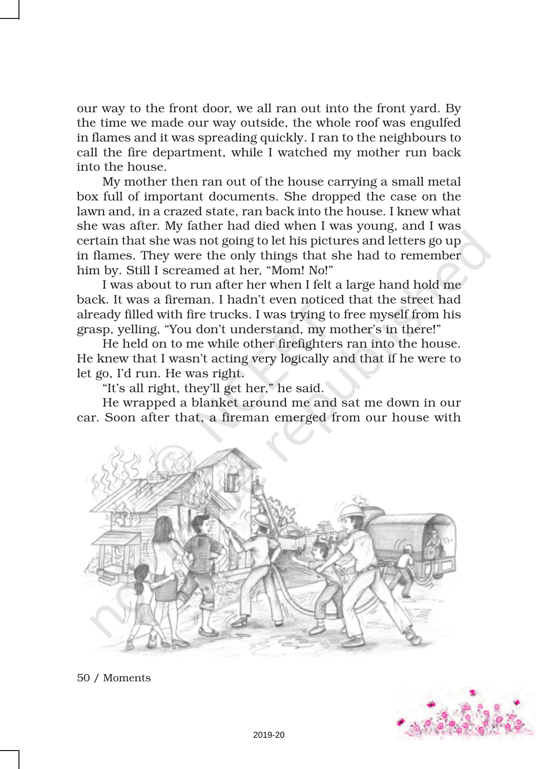our way to the front door, we all ran out into the front yard. By the time we made our way outside, the whole roof was engulfed in flames and it was spreading quickly. I ran to the neighbours to call the fire department, while I watched my mother run back into the house.

My mother then ran out of the house carrying a small metal box full of important documents. She dropped the case on the lawn and, in a crazed state, ran back into the house. I knew what she was after. My father had died when I was young, and I was certain that she was not going to let his pictures and letters go up in flames. They were the only things that she had to remember him by. Still I screamed at her, "Mom! No!"

I was about to run after her when I felt a large hand hold me back. It was a fireman. I hadn't even noticed that the street had already filled with fire trucks. I was trying to free myself from his grasp, yelling, "You don't understand, my mother's in there!"

He held on to me while other firefighters ran into the house. He knew that I wasn't acting very logically and that if he were to let go, I'd run. He was right.

"It's all right, they'll get her," he said.

He wrapped a blanket around me and sat me down in our car. Soon after that, a fireman emerged from our house with





50 / Moments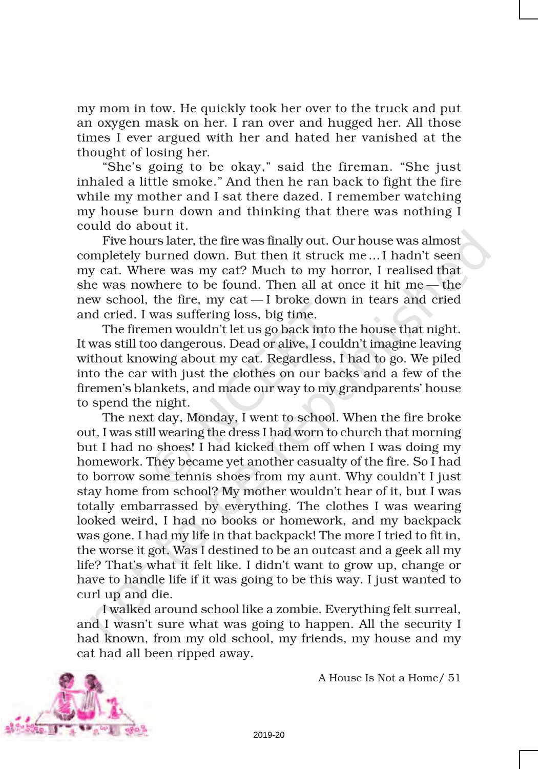my mom in tow. He quickly took her over to the truck and put an oxygen mask on her. I ran over and hugged her. All those times I ever argued with her and hated her vanished at the thought of losing her.

"She's going to be okay," said the fireman. "She just inhaled a little smoke." And then he ran back to fight the fire while my mother and I sat there dazed. I remember watching my house burn down and thinking that there was nothing I could do about it.

Five hours later, the fire was finally out. Our house was almost completely burned down. But then it struck me ...I hadn't seen my cat. Where was my cat? Much to my horror, I realised that she was nowhere to be found. Then all at once it hit me—the new school, the fire, my cat — I broke down in tears and cried and cried. I was suffering loss, big time.

The firemen wouldn't let us go back into the house that night. It was still too dangerous. Dead or alive, I couldn't imagine leaving without knowing about my cat. Regardless, I had to go. We piled into the car with just the clothes on our backs and a few of the firemen's blankets, and made our way to my grandparents' house to spend the night.

The next day, Monday, I went to school. When the fire broke out, I was still wearing the dress I had worn to church that morning but I had no shoes! I had kicked them off when I was doing my homework. They became yet another casualty of the fire. So I had to borrow some tennis shoes from my aunt. Why couldn't I just stay home from school? My mother wouldn't hear of it, but I was totally embarrassed by everything. The clothes I was wearing looked weird, I had no books or homework, and my backpack was gone. I had my life in that backpack! The more I tried to fit in, the worse it got. Was I destined to be an outcast and a geek all my life? That's what it felt like. I didn't want to grow up, change or have to handle life if it was going to be this way. I just wanted to curl up and die.

I walked around school like a zombie. Everything felt surreal, and I wasn't sure what was going to happen. All the security I had known, from my old school, my friends, my house and my cat had all been ripped away.



A House Is Not a Home/ 51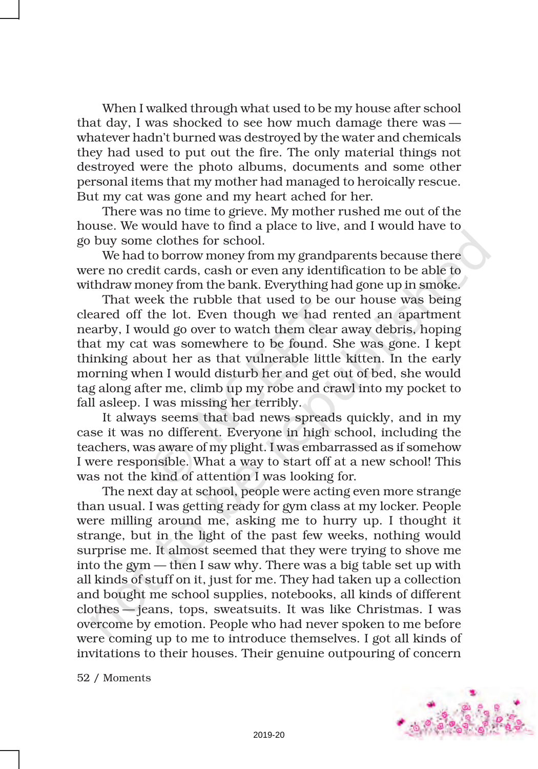When I walked through what used to be my house after school that day, I was shocked to see how much damage there was whatever hadn't burned was destroyed by the water and chemicals they had used to put out the fire. The only material things not destroyed were the photo albums, documents and some other personal items that my mother had managed to heroically rescue. But my cat was gone and my heart ached for her.

There was no time to grieve. My mother rushed me out of the house. We would have to find a place to live, and I would have to go buy some clothes for school.

We had to borrow money from my grandparents because there were no credit cards, cash or even any identification to be able to withdraw money from the bank. Everything had gone up in smoke.

That week the rubble that used to be our house was being cleared off the lot. Even though we had rented an apartment nearby, I would go over to watch them clear away debris, hoping that my cat was somewhere to be found. She was gone. I kept thinking about her as that vulnerable little kitten. In the early morning when I would disturb her and get out of bed, she would tag along after me, climb up my robe and crawl into my pocket to fall asleep. I was missing her terribly.

It always seems that bad news spreads quickly, and in my case it was no different. Everyone in high school, including the teachers, was aware of my plight. I was embarrassed as if somehow I were responsible. What a way to start off at a new school! This was not the kind of attention I was looking for.

The next day at school, people were acting even more strange than usual. I was getting ready for gym class at my locker. People were milling around me, asking me to hurry up. I thought it strange, but in the light of the past few weeks, nothing would surprise me. It almost seemed that they were trying to shove me into the gym — then I saw why. There was a big table set up with all kinds of stuff on it, just for me. They had taken up a collection and bought me school supplies, notebooks, all kinds of different clothes — jeans, tops, sweatsuits. It was like Christmas. I was overcome by emotion. People who had never spoken to me before were coming up to me to introduce themselves. I got all kinds of invitations to their houses. Their genuine outpouring of concern

52 / Moments

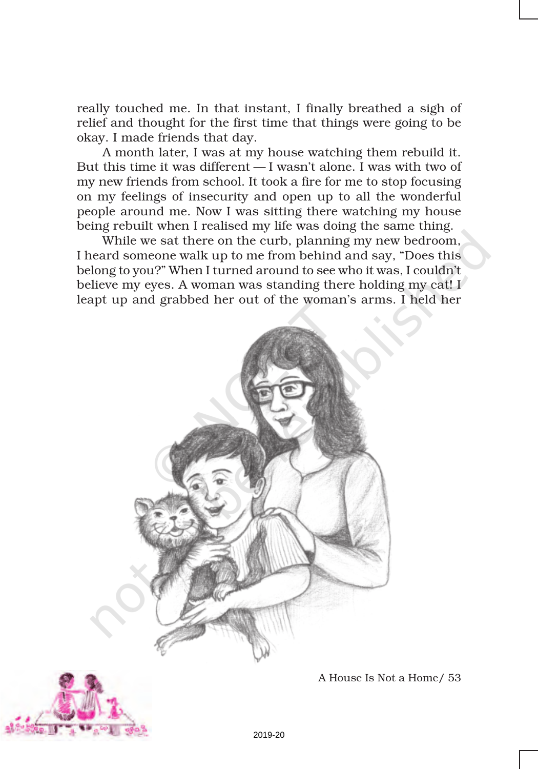really touched me. In that instant, I finally breathed a sigh of relief and thought for the first time that things were going to be okay. I made friends that day.

A month later, I was at my house watching them rebuild it. But this time it was different — I wasn't alone. I was with two of my new friends from school. It took a fire for me to stop focusing on my feelings of insecurity and open up to all the wonderful people around me. Now I was sitting there watching my house being rebuilt when I realised my life was doing the same thing.

While we sat there on the curb, planning my new bedroom, I heard someone walk up to me from behind and say, "Does this belong to you?" When I turned around to see who it was, I couldn't believe my eyes. A woman was standing there holding my cat! I leapt up and grabbed her out of the woman's arms. I held her





A House Is Not a Home/ 53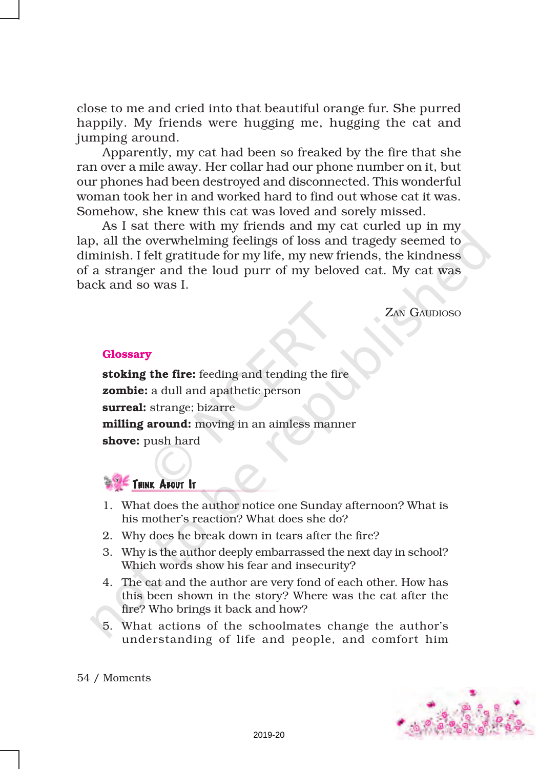close to me and cried into that beautiful orange fur. She purred happily. My friends were hugging me, hugging the cat and jumping around.

Apparently, my cat had been so freaked by the fire that she ran over a mile away. Her collar had our phone number on it, but our phones had been destroyed and disconnected. This wonderful woman took her in and worked hard to find out whose cat it was. Somehow, she knew this cat was loved and sorely missed.

As I sat there with my friends and my cat curled up in my lap, all the overwhelming feelings of loss and tragedy seemed to diminish. I felt gratitude for my life, my new friends, the kindness of a stranger and the loud purr of my beloved cat. My cat was back and so was I.

ZAN GAUDIOSO

## **Glossary**

stoking the fire: feeding and tending the fire **zombie:** a dull and apathetic person surreal: strange; bizarre milling around: moving in an aimless manner shove: push hard

## THINK ABOUT I<sup>T</sup>

- 1. What does the author notice one Sunday afternoon? What is his mother's reaction? What does she do?
- 2. Why does he break down in tears after the fire?
- 3. Why is the author deeply embarrassed the next day in school? Which words show his fear and insecurity?
- 4. The cat and the author are very fond of each other. How has this been shown in the story? Where was the cat after the fire? Who brings it back and how?
- 5. What actions of the schoolmates change the author's understanding of life and people, and comfort him



54 / Moments